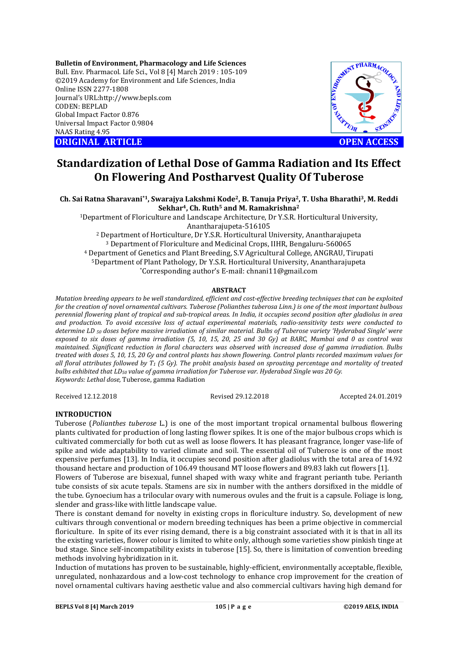**Bulletin of Environment, Pharmacology and Life Sciences** Bull. Env. Pharmacol. Life Sci., Vol 8 [4] March 2019 : 105-109 ©2019 Academy for Environment and Life Sciences, India Online ISSN 2277-1808 Journal's URL:http://www.bepls.com CODEN: BEPLAD Global Impact Factor 0.876 Universal Impact Factor 0.9804 NAAS Rating 4.95 **ORIGINAL ARTICLE OPEN ACCESS** 



# **Standardization of Lethal Dose of Gamma Radiation and Its Effect On Flowering And Postharvest Quality Of Tuberose**

**Ch. Sai Ratna Sharavani\*1, Swarajya Lakshmi Kode2, B. Tanuja Priya2, T. Usha Bharathi3, M. Reddi Sekhar4, Ch. Ruth5 and M. Ramakrishna2**

1Department of Floriculture and Landscape Architecture, Dr Y.S.R. Horticultural University, Anantharajupeta-516105

<sup>2</sup> Department of Horticulture, Dr Y.S.R. Horticultural University, Anantharajupeta <sup>3</sup> Department of Floriculture and Medicinal Crops, IIHR, Bengaluru-560065 <sup>4</sup> Department of Genetics and Plant Breeding, S.V Agricultural College, ANGRAU, Tirupati 5Department of Plant Pathology, Dr Y.S.R. Horticultural University, Anantharajupeta \*Corresponding author's E-mail: chnani11@gmail.com

# **ABSTRACT**

*Mutation breeding appears to be well standardized, efficient and cost-effective breeding techniques that can be exploited for the creation of novel ornamental cultivars. Tuberose (Polianthes tuberosa Linn.) is one of the most important bulbous perennial flowering plant of tropical and sub-tropical areas. In India, it occupies second position after gladiolus in area and production. To avoid excessive loss of actual experimental materials, radio-sensitivity tests were conducted to determine LD 50 doses before massive irradiation of similar material. Bulbs of Tuberose variety 'Hyderabad Single' were exposed to six doses of gamma irradiation (5, 10, 15, 20, 25 and 30 Gy) at BARC, Mumbai and 0 as control was maintained. Significant reduction in floral characters was observed with increased dose of gamma irradiation. Bulbs treated with doses 5, 10, 15, 20 Gy and control plants has shown flowering. Control plants recorded maximum values for all floral attributes followed by T1 (5 Gy). The probit analysis based on sprouting percentage and mortality of treated bulbs exhibited that LD50 value of gamma irradiation for Tuberose var. Hyderabad Single was 20 Gy. Keywords: Lethal dose,* Tuberose, gamma Radiation

Received 12.12.2018 Revised 29.12.2018 Accepted 24.01.2019

# **INTRODUCTION**

Tuberose (*Polianthes tuberose* L.) is one of the most important tropical ornamental bulbous flowering plants cultivated for production of long lasting flower spikes. It is one of the major bulbous crops which is cultivated commercially for both cut as well as loose flowers. It has pleasant fragrance, longer vase-life of spike and wide adaptability to varied climate and soil. The essential oil of Tuberose is one of the most expensive perfumes [13]. In India, it occupies second position after gladiolus with the total area of 14.92 thousand hectare and production of 106.49 thousand MT loose flowers and 89.83 lakh cut flowers [1].

Flowers of Tuberose are bisexual, funnel shaped with waxy white and fragrant perianth tube. Perianth tube consists of six acute tepals. Stamens are six in number with the anthers dorsifixed in the middle of the tube. Gynoecium has a trilocular ovary with numerous ovules and the fruit is a capsule. Foliage is long, slender and grass-like with little landscape value.

There is constant demand for novelty in existing crops in floriculture industry. So, development of new cultivars through conventional or modern breeding techniques has been a prime objective in commercial floriculture. In spite of its ever rising demand, there is a big constraint associated with it is that in all its the existing varieties, flower colour is limited to white only, although some varieties show pinkish tinge at bud stage. Since self-incompatibility exists in tuberose [15]. So, there is limitation of convention breeding methods involving hybridization in it.

Induction of mutations has proven to be sustainable, highly-efficient, environmentally acceptable, flexible, unregulated, nonhazardous and a low-cost technology to enhance crop improvement for the creation of novel ornamental cultivars having aesthetic value and also commercial cultivars having high demand for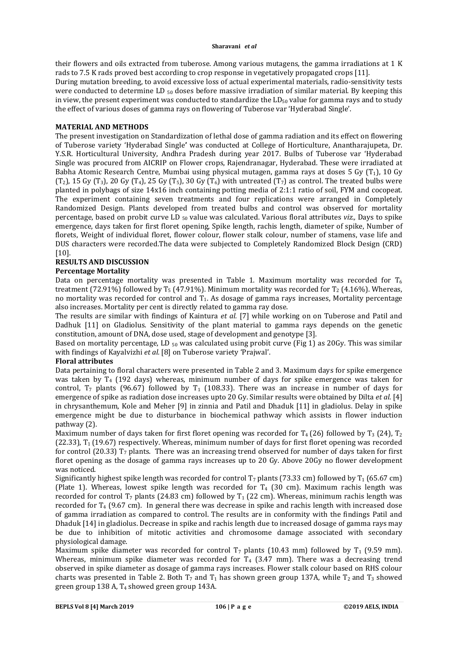## **Sharavani** *et al*

their flowers and oils extracted from tuberose. Among various mutagens, the gamma irradiations at 1 K rads to 7.5 K rads proved best according to crop response in vegetatively propagated crops [11].

During mutation breeding, to avoid excessive loss of actual experimental materials, radio-sensitivity tests were conducted to determine LD  $_{50}$  doses before massive irradiation of similar material. By keeping this in view, the present experiment was conducted to standardize the  $LD_{50}$  value for gamma rays and to study the effect of various doses of gamma rays on flowering of Tuberose var 'Hyderabad Single'.

# **MATERIAL AND METHODS**

The present investigation on Standardization of lethal dose of gamma radiation and its effect on flowering of Tuberose variety 'Hyderabad Single**'** was conducted at College of Horticulture, Anantharajupeta, Dr. Y.S.R. Horticultural University, Andhra Pradesh during year 2017. Bulbs of Tuberose var 'Hyderabad Single was procured from AICRIP on Flower crops, Rajendranagar, Hyderabad. These were irradiated at Babha Atomic Research Centre, Mumbai using physical mutagen, gamma rays at doses 5 Gy  $(T_1)$ , 10 Gy  $(T_2)$ , 15 Gy  $(T_3)$ , 20 Gy  $(T_4)$ , 25 Gy  $(T_5)$ , 30 Gy  $(T_6)$  with untreated  $(T_7)$  as control. The treated bulbs were planted in polybags of size 14x16 inch containing potting media of 2:1:1 ratio of soil, FYM and cocopeat. The experiment containing seven treatments and four replications were arranged in Completely Randomized Design. Plants developed from treated bulbs and control was observed for mortality percentage, based on probit curve LD 50 value was calculated. Various floral attributes *viz.,* Days to spike emergence, days taken for first floret opening, Spike length, rachis length, diameter of spike, Number of florets, Weight of individual floret, flower colour, flower stalk colour, number of stamens, vase life and DUS characters were recorded.The data were subjected to Completely Randomized Block Design (CRD) [10].

# **RESULTS AND DISCUSSION**

# **Percentage Mortality**

Data on percentage mortality was presented in Table 1. Maximum mortality was recorded for  $T_6$ treatment (72.91%) followed by  $T_5$  (47.91%). Minimum mortality was recorded for  $T_2$  (4.16%). Whereas, no mortality was recorded for control and T1. As dosage of gamma rays increases, Mortality percentage also increases. Mortality per cent is directly related to gamma ray dose.

The results are similar with findings of Kaintura *et al.* [7] while working on on Tuberose and Patil and Dadhuk [11] on Gladiolus. Sensitivity of the plant material to gamma rays depends on the genetic constitution, amount of DNA, dose used, stage of development and genotype [3].

Based on mortality percentage, LD  $_{50}$  was calculated using probit curve (Fig 1) as 20Gy. This was similar with findings of Kayalvizhi *et al.* [8] on Tuberose variety 'Prajwal'.

# **Floral attributes**

Data pertaining to floral characters were presented in Table 2 and 3. Maximum days for spike emergence was taken by  $T_4$  (192 days) whereas, minimum number of days for spike emergence was taken for control,  $T_7$  plants (96.67) followed by  $T_1$  (108.33). There was an increase in number of days for emergence of spike as radiation dose increases upto 20 Gy. Similar results were obtained by Dilta *et al*. [4] in chrysanthemum, Kole and Meher [9] in zinnia and Patil and Dhaduk [11] in gladiolus. Delay in spike emergence might be due to disturbance in biochemical pathway which assists in flower induction pathway (2).

Maximum number of days taken for first floret opening was recorded for  $T_4$  (26) followed by  $T_3$  (24),  $T_2$  $(22.33)$ ,  $T_1$  (19.67) respectively. Whereas, minimum number of days for first floret opening was recorded for control (20.33)  $T_7$  plants. There was an increasing trend observed for number of days taken for first floret opening as the dosage of gamma rays increases up to 20 Gy. Above 20Gy no flower development was noticed.

Significantly highest spike length was recorded for control  $T_7$  plants (73.33 cm) followed by  $T_1$  (65.67 cm) (Plate 1). Whereas, lowest spike length was recorded for  $T_4$  (30 cm). Maximum rachis length was recorded for control T<sub>7</sub> plants (24.83 cm) followed by T<sub>1</sub> (22 cm). Whereas, minimum rachis length was recorded for T4 (9.67 cm). In general there was decrease in spike and rachis length with increased dose of gamma irradiation as compared to control. The results are in conformity with the findings Patil and Dhaduk [14] in gladiolus. Decrease in spike and rachis length due to increased dosage of gamma rays may be due to inhibition of mitotic activities and chromosome damage associated with secondary physiological damage.

Maximum spike diameter was recorded for control  $T_7$  plants (10.43 mm) followed by  $T_1$  (9.59 mm). Whereas, minimum spike diameter was recorded for  $T_4$  (3.47 mm). There was a decreasing trend observed in spike diameter as dosage of gamma rays increases. Flower stalk colour based on RHS colour charts was presented in Table 2. Both  $T_7$  and  $T_1$  has shown green group 137A, while  $T_2$  and  $T_3$  showed green group 138 A, T4 showed green group 143A.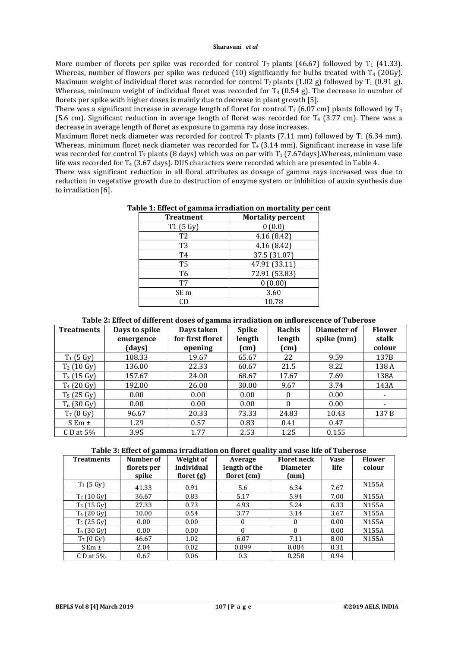#### **Sharavani** *et al*

More number of florets per spike was recorded for control  $T_7$  plants (46.67) followed by  $T_1$  (41.33). Whereas, number of flowers per spike was reduced (10) significantly for bulbs treated with  $T_4$  (20Gy). Maximum weight of individual floret was recorded for control  $T_7$  plants (1.02 g) followed by  $T_1$  (0.91 g). Whereas, minimum weight of individual floret was recorded for  $T_4$  (0.54 g). The decrease in number of florets per spike with higher doses is mainly due to decrease in plant growth [5].

There was a significant increase in average length of floret for control  $T_7$  (6.07 cm) plants followed by  $T_1$ (5.6 cm). Significant reduction in average length of floret was recorded for  $T_4$  (3.77 cm). There was a decrease in average length of floret as exposure to gamma ray dose increases.

Maximum floret neck diameter was recorded for control  $T_7$  plants (7.11 mm) followed by  $T_1$  (6.34 mm). Whereas, minimum floret neck diameter was recorded for  $T_4$  (3.14 mm). Significant increase in vase life was recorded for control  $T_7$  plants (8 days) which was on par with  $T_1$  (7.67days). Whereas, minimum vase life was recorded for T<sub>4</sub> (3.67 days). DUS characters were recorded which are presented in Table 4.

There was significant reduction in all floral attributes as dosage of gamma rays increased was due to reduction in vegetative growth due to destruction of enzyme system or inhibition of auxin synthesis due to irradiation [6].

| <b>Treatment</b> | <b>Mortality percent</b> |
|------------------|--------------------------|
| T1(5 Gy)         | 0(0.0)                   |
| T <sub>2</sub>   | 4.16(8.42)               |
| T3               | 4.16(8.42)               |
| T4               | 37.5 (31.07)             |
| T <sub>5</sub>   | 47.91 (33.11)            |
| T6               | 72.91 (53.83)            |
| T7               | 0(0.00)                  |
| SE <sub>m</sub>  | 3.60                     |
|                  | 10.78                    |

# **Table 1: Effect of gamma irradiation on mortality per cent**

# **Table 2: Effect of different doses of gamma irradiation on inflorescence of Tuberose**

| <b>Treatments</b> | Days to spike | Days taken       | <b>Spike</b> | Rachis   | Diameter of | <b>Flower</b> |
|-------------------|---------------|------------------|--------------|----------|-------------|---------------|
|                   | emergence     | for first floret | length       | length   | spike (mm)  | stalk         |
|                   | (days)        | opening          | (cm)         | (cm)     |             | colour        |
| $T_1$ (5 Gy)      | 108.33        | 19.67            | 65.67        | 22       | 9.59        | 137B          |
| $T_2$ (10 Gy)     | 136.00        | 22.33            | 60.67        | 21.5     | 8.22        | 138 A         |
| $T_3$ (15 Gy)     | 157.67        | 24.00            | 68.67        | 17.67    | 7.69        | 138A          |
| $T_4$ (20 Gy)     | 192.00        | 26.00            | 30.00        | 9.67     | 3.74        | 143A          |
| $T_5$ (25 Gy)     | 0.00          | 0.00             | 0.00         | $\Omega$ | 0.00        |               |
| $T_6$ (30 Gy)     | 0.00          | 0.00             | 0.00         | $\Omega$ | 0.00        |               |
| $T_7$ (0 Gy)      | 96.67         | 20.33            | 73.33        | 24.83    | 10.43       | 137B          |
| $S Em \pm$        | 1.29          | 0.57             | 0.83         | 0.41     | 0.47        |               |
| C D at $5\%$      | 3.95          | 1.77             | 2.53         | 1.25     | 0.155       |               |

## **Table 3: Effect of gamma irradiation on floret quality and vase life of Tuberose**

| <b>Treatments</b>   | Number of<br>florets per | Weight of<br>individual | Average<br>length of the | <b>Floret neck</b><br><b>Diameter</b> | <b>Vase</b><br>life | <b>Flower</b><br>colour |
|---------------------|--------------------------|-------------------------|--------------------------|---------------------------------------|---------------------|-------------------------|
|                     | spike                    | floret $(g)$            | floret (cm)              | mm)                                   |                     |                         |
| $T_1$ (5 Gy)        | 41.33                    | 0.91                    | 5.6                      | 6.34                                  | 7.67                | N155A                   |
| $T_2$ (10 Gy)       | 36.67                    | 0.83                    | 5.17                     | 5.94                                  | 7.00                | N155A                   |
| $T_3$ (15 Gy)       | 27.33                    | 0.73                    | 4.93                     | 5.24                                  | 6.33                | N155A                   |
| $T_4$ (20 Gy)       | 10.00                    | 0.54                    | 3.77                     | 3.14                                  | 3.67                | N155A                   |
| $T_5$ (25 Gy)       | 0.00                     | 0.00                    | $\bf{0}$                 | $\mathbf{0}$                          | 0.00                | N <sub>155</sub> A      |
| $T_6$ (30 Gy)       | 0.00                     | 0.00                    | $\Omega$                 | $\Omega$                              | 0.00                | N155A                   |
| $T_7(0 \text{ Gy})$ | 46.67                    | 1.02                    | 6.07                     | 7.11                                  | 8.00                | N155A                   |
| S Em $\pm$          | 2.04                     | 0.02                    | 0.099                    | 0.084                                 | 0.31                |                         |
| C D at $5\%$        | 0.67                     | 0.06                    | 0.3                      | 0.258                                 | 0.94                |                         |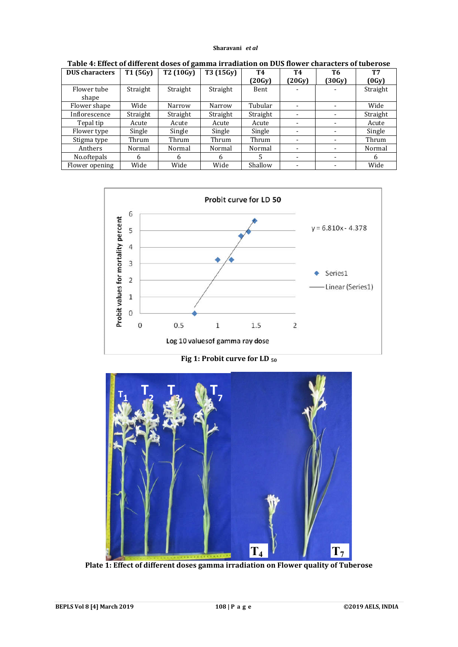#### **Sharavani** *et al*

| <b>DUS</b> characters | T1 (5Gy) | T2 (10Gy) | T3 (15Gy) | <b>T4</b> | T4                       | Т6     | <b>T7</b> |
|-----------------------|----------|-----------|-----------|-----------|--------------------------|--------|-----------|
|                       |          |           |           | (20Gy)    | (20Gy)                   | (30Gy) | (0Gy)     |
| Flower tube           | Straight | Straight  | Straight  | Bent      |                          |        | Straight  |
| shape                 |          |           |           |           |                          |        |           |
| Flower shape          | Wide     | Narrow    | Narrow    | Tubular   | $\blacksquare$           |        | Wide      |
| Inflorescence         | Straight | Straight  | Straight  | Straight  |                          | -      | Straight  |
| Tepal tip             | Acute    | Acute     | Acute     | Acute     | $\overline{\phantom{a}}$ |        | Acute     |
| Flower type           | Single   | Single    | Single    | Single    | -                        |        | Single    |
| Stigma type           | Thrum    | Thrum     | Thrum     | Thrum     | $\overline{\phantom{a}}$ | ۰      | Thrum     |
| Anthers               | Normal   | Normal    | Normal    | Normal    | $\blacksquare$           | ۰      | Normal    |
| No.oftepals           | 6        | 6         | 6         | .5        | -                        |        | 6         |
| Flower opening        | Wide     | Wide      | Wide      | Shallow   | -                        |        | Wide      |

**Table 4: Effect of different doses of gamma irradiation on DUS flower characters of tuberose**



**Fig 1: Probit curve for LD 50**



**Plate 1: Effect of different doses gamma irradiation on Flower quality of Tuberose**